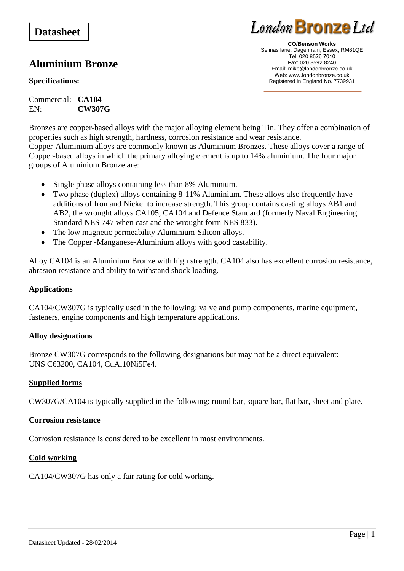# **Datasheet**

# **Aluminium Bronze**

### **Specifications:**

Commercial: **CA104** EN: **CW307G** London Bronze Ltd

**CO/Benson Works**  Selinas lane, Dagenham, Essex, RM81QE Tel: 020 8526 7010 Fax: 020 8592 8240 Email: mike@londonbronze.co.uk Web: www.londonbronze.co.uk Registered in England No. 7739931

Bronzes are copper-based alloys with the major alloying element being Tin. They offer a combination of properties such as high strength, hardness, corrosion resistance and wear resistance. Copper-Aluminium alloys are commonly known as Aluminium Bronzes. These alloys cover a range of Copper-based alloys in which the primary alloying element is up to 14% aluminium. The four major groups of Aluminium Bronze are:

- Single phase alloys containing less than 8% Aluminium.
- Two phase (duplex) alloys containing 8-11% Aluminium. These alloys also frequently have additions of Iron and Nickel to increase strength. This group contains casting alloys AB1 and AB2, the wrought alloys CA105, CA104 and Defence Standard (formerly Naval Engineering Standard NES 747 when cast and the wrought form NES 833).
- The low magnetic permeability Aluminium-Silicon alloys.
- The Copper -Manganese-Aluminium alloys with good castability.

Alloy CA104 is an Aluminium Bronze with high strength. CA104 also has excellent corrosion resistance, abrasion resistance and ability to withstand shock loading.

### **Applications**

CA104/CW307G is typically used in the following: valve and pump components, marine equipment, fasteners, engine components and high temperature applications.

#### **Alloy designations**

Bronze CW307G corresponds to the following designations but may not be a direct equivalent: UNS C63200, CA104, CuAl10Ni5Fe4.

#### **Supplied forms**

CW307G/CA104 is typically supplied in the following: round bar, square bar, flat bar, sheet and plate.

#### **Corrosion resistance**

Corrosion resistance is considered to be excellent in most environments.

#### **Cold working**

CA104/CW307G has only a fair rating for cold working.